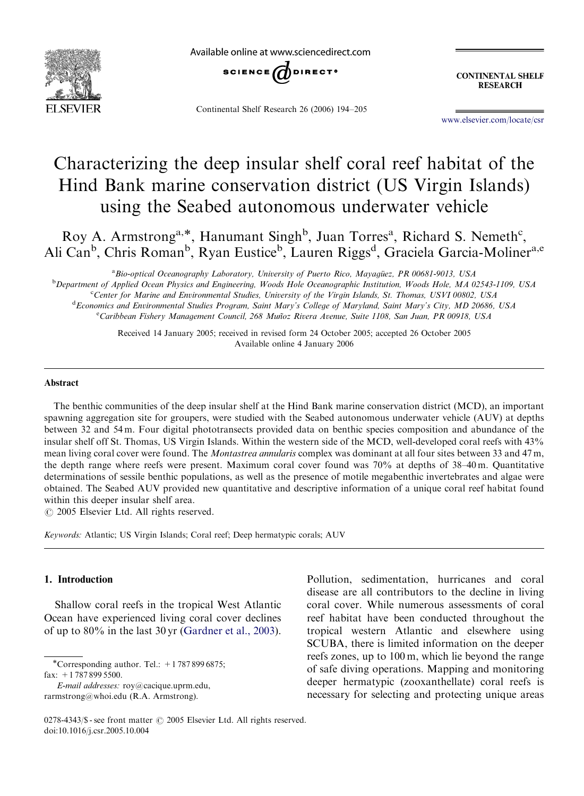

Available online at www.sciencedirect.com



Continental Shelf Research 26 (2006) 194–205

**CONTINENTAL SHELF RESEARCH** 

<www.elsevier.com/locate/csr>

# Characterizing the deep insular shelf coral reef habitat of the Hind Bank marine conservation district (US Virgin Islands) using the Seabed autonomous underwater vehicle

Roy A. Armstrong<sup>a,\*</sup>, Hanumant Singh<sup>b</sup>, Juan Torres<sup>a</sup>, Richard S. Nemeth<sup>c</sup>, Ali Can<sup>b</sup>, Chris Roman<sup>b</sup>, Ryan Eustice<sup>b</sup>, Lauren Riggs<sup>d</sup>, Graciela Garcia-Moliner<sup>a,e</sup>

<sup>a</sup> Bio-optical Oceanography Laboratory, University of Puerto Rico, Mayagüez, PR 00681-9013, USA<br><sup>b</sup> Department of Applied Ocean Physics and Engineering, Woods Hole Oceanographic Institution, Woods Hole, MA 0

<sup>b</sup>Department of Applied Ocean Physics and Engineering, Woods Hole Oceanographic Institution, Woods Hole, MA 02543-1109, USA <sup>c</sup>Center for Marine and Environmental Studies, University of the Virgin Islands, St. Thomas, USVI 00802, USA <sup>d</sup> Economics and Environmental Studies Program, Saint Mary's College of Maryland, Saint Mary's City, MD 20686, USA

<sup>e</sup> Caribbean Fishery Management Council, 268 Muñoz Rivera Avenue, Suite 1108, San Juan, PR 00918, USA

Received 14 January 2005; received in revised form 24 October 2005; accepted 26 October 2005 Available online 4 January 2006

#### **Abstract**

The benthic communities of the deep insular shelf at the Hind Bank marine conservation district (MCD), an important spawning aggregation site for groupers, were studied with the Seabed autonomous underwater vehicle (AUV) at depths between 32 and 54 m. Four digital phototransects provided data on benthic species composition and abundance of the insular shelf off St. Thomas, US Virgin Islands. Within the western side of the MCD, well-developed coral reefs with 43% mean living coral cover were found. The *Montastrea annularis* complex was dominant at all four sites between 33 and 47 m, the depth range where reefs were present. Maximum coral cover found was 70% at depths of 38–40 m. Quantitative determinations of sessile benthic populations, as well as the presence of motile megabenthic invertebrates and algae were obtained. The Seabed AUV provided new quantitative and descriptive information of a unique coral reef habitat found within this deeper insular shelf area.

 $O$  2005 Elsevier Ltd. All rights reserved.

Keywords: Atlantic; US Virgin Islands; Coral reef; Deep hermatypic corals; AUV

## 1. Introduction

Shallow coral reefs in the tropical West Atlantic Ocean have experienced living coral cover declines of up to 80% in the last 30 yr [\(Gardner et al., 2003](#page-11-0)).

\*Corresponding author. Tel.:  $+17878996875$ ; fax: +1 787 899 5500.

E-mail addresses: roy@cacique.uprm.edu, rarmstrong@whoi.edu (R.A. Armstrong).

Pollution, sedimentation, hurricanes and coral disease are all contributors to the decline in living coral cover. While numerous assessments of coral reef habitat have been conducted throughout the tropical western Atlantic and elsewhere using SCUBA, there is limited information on the deeper reefs zones, up to 100 m, which lie beyond the range of safe diving operations. Mapping and monitoring deeper hermatypic (zooxanthellate) coral reefs is necessary for selecting and protecting unique areas

<sup>0278-4343/\$ -</sup> see front matter  $\odot$  2005 Elsevier Ltd. All rights reserved. doi:10.1016/j.csr.2005.10.004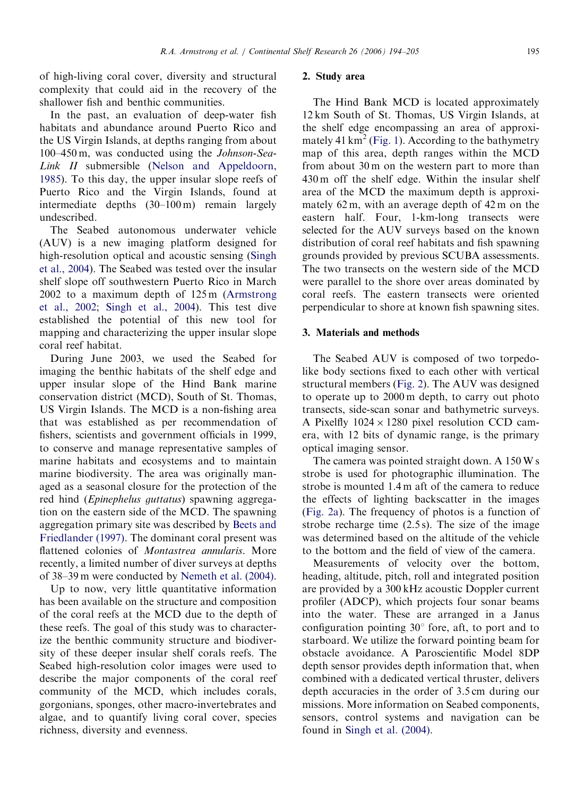of high-living coral cover, diversity and structural complexity that could aid in the recovery of the

shallower fish and benthic communities. In the past, an evaluation of deep-water fish habitats and abundance around Puerto Rico and the US Virgin Islands, at depths ranging from about 100–450 m, was conducted using the Johnson-Sea-Link II submersible ([Nelson and Appeldoorn,](#page-11-0) [1985\)](#page-11-0). To this day, the upper insular slope reefs of Puerto Rico and the Virgin Islands, found at intermediate depths (30–100 m) remain largely undescribed.

The Seabed autonomous underwater vehicle (AUV) is a new imaging platform designed for high-resolution optical and acoustic sensing ([Singh](#page-11-0) [et al., 2004](#page-11-0)). The Seabed was tested over the insular shelf slope off southwestern Puerto Rico in March 2002 to a maximum depth of 125 m [\(Armstrong](#page-11-0) [et al., 2002;](#page-11-0) [Singh et al., 2004](#page-11-0)). This test dive established the potential of this new tool for mapping and characterizing the upper insular slope coral reef habitat.

During June 2003, we used the Seabed for imaging the benthic habitats of the shelf edge and upper insular slope of the Hind Bank marine conservation district (MCD), South of St. Thomas, US Virgin Islands. The MCD is a non-fishing area that was established as per recommendation of fishers, scientists and government officials in 1999, to conserve and manage representative samples of marine habitats and ecosystems and to maintain marine biodiversity. The area was originally managed as a seasonal closure for the protection of the red hind (Epinephelus guttatus) spawning aggregation on the eastern side of the MCD. The spawning aggregation primary site was described by [Beets and](#page-11-0) [Friedlander \(1997\)](#page-11-0). The dominant coral present was flattened colonies of Montastrea annularis. More recently, a limited number of diver surveys at depths of 38–39 m were conducted by [Nemeth et al. \(2004\)](#page-11-0).

Up to now, very little quantitative information has been available on the structure and composition of the coral reefs at the MCD due to the depth of these reefs. The goal of this study was to characterize the benthic community structure and biodiversity of these deeper insular shelf corals reefs. The Seabed high-resolution color images were used to describe the major components of the coral reef community of the MCD, which includes corals, gorgonians, sponges, other macro-invertebrates and algae, and to quantify living coral cover, species richness, diversity and evenness.

### 2. Study area

The Hind Bank MCD is located approximately 12 km South of St. Thomas, US Virgin Islands, at the shelf edge encompassing an area of approxi-mately 41 km<sup>2</sup> ([Fig. 1](#page-2-0)). According to the bathymetry map of this area, depth ranges within the MCD from about 30 m on the western part to more than 430 m off the shelf edge. Within the insular shelf area of the MCD the maximum depth is approximately 62 m, with an average depth of 42 m on the eastern half. Four, 1-km-long transects were selected for the AUV surveys based on the known distribution of coral reef habitats and fish spawning grounds provided by previous SCUBA assessments. The two transects on the western side of the MCD were parallel to the shore over areas dominated by coral reefs. The eastern transects were oriented perpendicular to shore at known fish spawning sites.

#### 3. Materials and methods

The Seabed AUV is composed of two torpedolike body sections fixed to each other with vertical structural members ([Fig. 2\)](#page-2-0). The AUV was designed to operate up to 2000 m depth, to carry out photo transects, side-scan sonar and bathymetric surveys. A Pixelfly  $1024 \times 1280$  pixel resolution CCD camera, with 12 bits of dynamic range, is the primary optical imaging sensor.

The camera was pointed straight down. A 150 W s strobe is used for photographic illumination. The strobe is mounted 1.4 m aft of the camera to reduce the effects of lighting backscatter in the images [\(Fig. 2a\)](#page-2-0). The frequency of photos is a function of strobe recharge time (2.5 s). The size of the image was determined based on the altitude of the vehicle to the bottom and the field of view of the camera.

Measurements of velocity over the bottom, heading, altitude, pitch, roll and integrated position are provided by a 300 kHz acoustic Doppler current profiler (ADCP), which projects four sonar beams into the water. These are arranged in a Janus configuration pointing  $30^{\circ}$  fore, aft, to port and to starboard. We utilize the forward pointing beam for obstacle avoidance. A Paroscientific Model 8DP depth sensor provides depth information that, when combined with a dedicated vertical thruster, delivers depth accuracies in the order of 3.5 cm during our missions. More information on Seabed components, sensors, control systems and navigation can be found in [Singh et al. \(2004\)](#page-11-0).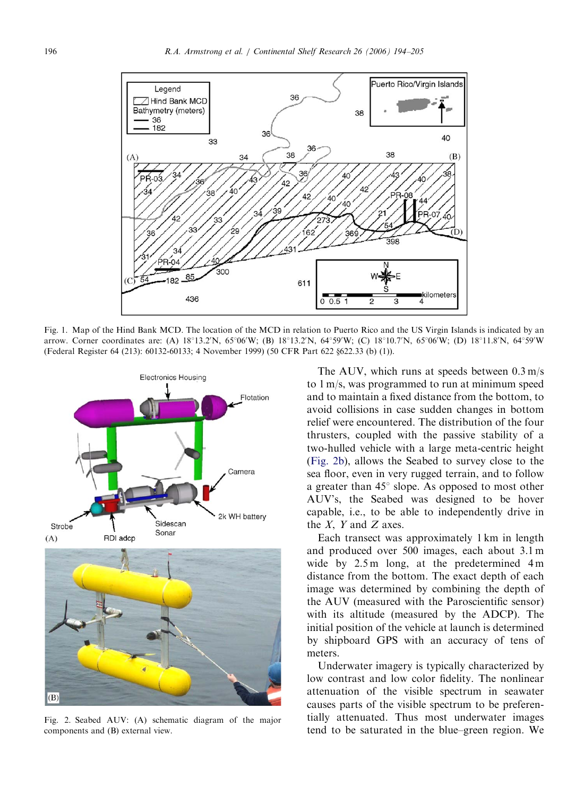<span id="page-2-0"></span>

Fig. 1. Map of the Hind Bank MCD. The location of the MCD in relation to Puerto Rico and the US Virgin Islands is indicated by an arrow. Corner coordinates are: (A) 18°13.2'N, 65°06'W; (B) 18°13.2'N, 64°59'W; (C) 18°10.7'N, 65°06'W; (D) 18°11.8'N, 64°59'W (Federal Register 64 (213): 60132-60133; 4 November 1999) (50 CFR Part 622 *y*622.33 (b) (1)).



Fig. 2. Seabed AUV: (A) schematic diagram of the major components and (B) external view.

The AUV, which runs at speeds between 0.3 m/s to 1 m/s, was programmed to run at minimum speed and to maintain a fixed distance from the bottom, to avoid collisions in case sudden changes in bottom relief were encountered. The distribution of the four thrusters, coupled with the passive stability of a two-hulled vehicle with a large meta-centric height (Fig. 2b), allows the Seabed to survey close to the sea floor, even in very rugged terrain, and to follow a greater than  $45^{\circ}$  slope. As opposed to most other AUV's, the Seabed was designed to be hover capable, i.e., to be able to independently drive in the  $X$ ,  $Y$  and  $Z$  axes.

Each transect was approximately 1 km in length and produced over 500 images, each about 3.1 m wide by 2.5 m long, at the predetermined 4 m distance from the bottom. The exact depth of each image was determined by combining the depth of the AUV (measured with the Paroscientific sensor) with its altitude (measured by the ADCP). The initial position of the vehicle at launch is determined by shipboard GPS with an accuracy of tens of meters.

Underwater imagery is typically characterized by low contrast and low color fidelity. The nonlinear attenuation of the visible spectrum in seawater causes parts of the visible spectrum to be preferentially attenuated. Thus most underwater images tend to be saturated in the blue–green region. We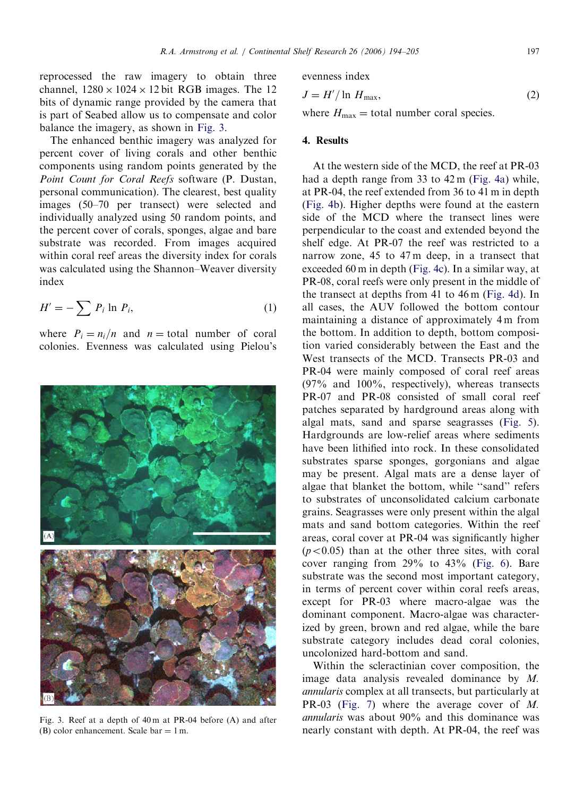reprocessed the raw imagery to obtain three channel,  $1280 \times 1024 \times 12$  bit RGB images. The 12 bits of dynamic range provided by the camera that is part of Seabed allow us to compensate and color balance the imagery, as shown in Fig. 3.

The enhanced benthic imagery was analyzed for percent cover of living corals and other benthic components using random points generated by the Point Count for Coral Reefs software (P. Dustan, personal communication). The clearest, best quality images (50–70 per transect) were selected and individually analyzed using 50 random points, and the percent cover of corals, sponges, algae and bare substrate was recorded. From images acquired within coral reef areas the diversity index for corals was calculated using the Shannon–Weaver diversity index

$$
H' = -\sum P_i \ln P_i,\tag{1}
$$

where  $P_i = n_i/n$  and  $n =$  total number of coral colonies. Evenness was calculated using Pielou's



Fig. 3. Reef at a depth of 40 m at PR-04 before (A) and after (B) color enhancement. Scale bar  $= 1$  m.

evenness index

$$
J = H'/\ln H_{\text{max}},\tag{2}
$$

where  $H_{\text{max}} = \text{total number } \text{total species.}$ 

### 4. Results

At the western side of the MCD, the reef at PR-03 had a depth range from 33 to 42 m ([Fig. 4a](#page-4-0)) while, at PR-04, the reef extended from 36 to 41 m in depth [\(Fig. 4b\)](#page-4-0). Higher depths were found at the eastern side of the MCD where the transect lines were perpendicular to the coast and extended beyond the shelf edge. At PR-07 the reef was restricted to a narrow zone, 45 to 47 m deep, in a transect that exceeded 60 m in depth ([Fig. 4c\)](#page-4-0). In a similar way, at PR-08, coral reefs were only present in the middle of the transect at depths from 41 to 46 m ([Fig. 4d](#page-4-0)). In all cases, the AUV followed the bottom contour maintaining a distance of approximately 4 m from the bottom. In addition to depth, bottom composition varied considerably between the East and the West transects of the MCD. Transects PR-03 and PR-04 were mainly composed of coral reef areas (97% and 100%, respectively), whereas transects PR-07 and PR-08 consisted of small coral reef patches separated by hardground areas along with algal mats, sand and sparse seagrasses [\(Fig. 5](#page-5-0)). Hardgrounds are low-relief areas where sediments have been lithified into rock. In these consolidated substrates sparse sponges, gorgonians and algae may be present. Algal mats are a dense layer of algae that blanket the bottom, while ''sand'' refers to substrates of unconsolidated calcium carbonate grains. Seagrasses were only present within the algal mats and sand bottom categories. Within the reef areas, coral cover at PR-04 was significantly higher  $(p<0.05)$  than at the other three sites, with coral cover ranging from 29% to 43% ([Fig. 6\)](#page-5-0). Bare substrate was the second most important category, in terms of percent cover within coral reefs areas, except for PR-03 where macro-algae was the dominant component. Macro-algae was characterized by green, brown and red algae, while the bare substrate category includes dead coral colonies, uncolonized hard-bottom and sand.

Within the scleractinian cover composition, the image data analysis revealed dominance by M. annularis complex at all transects, but particularly at PR-03 ([Fig. 7\)](#page-6-0) where the average cover of M. annularis was about 90% and this dominance was nearly constant with depth. At PR-04, the reef was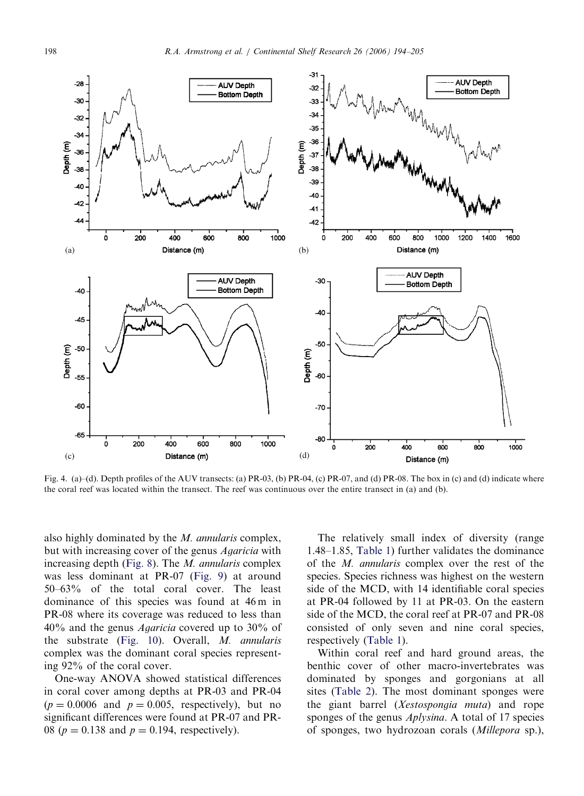<span id="page-4-0"></span>

Fig. 4. (a)–(d). Depth profiles of the AUV transects: (a) PR-03, (b) PR-04, (c) PR-07, and (d) PR-08. The box in (c) and (d) indicate where the coral reef was located within the transect. The reef was continuous over the entire transect in (a) and (b).

also highly dominated by the M. annularis complex, but with increasing cover of the genus Agaricia with increasing depth [\(Fig. 8](#page-6-0)). The M. annularis complex was less dominant at PR-07 ([Fig. 9](#page-7-0)) at around 50–63% of the total coral cover. The least dominance of this species was found at 46 m in PR-08 where its coverage was reduced to less than 40% and the genus Agaricia covered up to 30% of the substrate [\(Fig. 10](#page-7-0)). Overall, M. annularis complex was the dominant coral species representing 92% of the coral cover.

One-way ANOVA showed statistical differences in coral cover among depths at PR-03 and PR-04  $(p = 0.0006$  and  $p = 0.005$ , respectively), but no significant differences were found at PR-07 and PR-08 ( $p = 0.138$  and  $p = 0.194$ , respectively).

The relatively small index of diversity (range 1.48–1.85, [Table 1\)](#page-8-0) further validates the dominance of the M. annularis complex over the rest of the species. Species richness was highest on the western side of the MCD, with 14 identifiable coral species at PR-04 followed by 11 at PR-03. On the eastern side of the MCD, the coral reef at PR-07 and PR-08 consisted of only seven and nine coral species, respectively [\(Table 1\)](#page-8-0).

Within coral reef and hard ground areas, the benthic cover of other macro-invertebrates was dominated by sponges and gorgonians at all sites [\(Table 2](#page-9-0)). The most dominant sponges were the giant barrel (Xestospongia muta) and rope sponges of the genus *Aplysina*. A total of 17 species of sponges, two hydrozoan corals (Millepora sp.),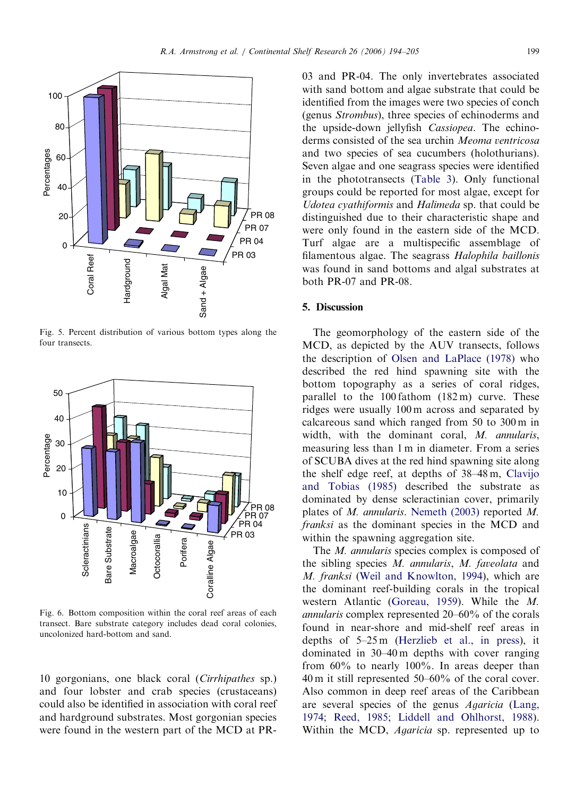<span id="page-5-0"></span>

Fig. 5. Percent distribution of various bottom types along the four transects.



Fig. 6. Bottom composition within the coral reef areas of each transect. Bare substrate category includes dead coral colonies, uncolonized hard-bottom and sand.

10 gorgonians, one black coral (Cirrhipathes sp.) and four lobster and crab species (crustaceans) could also be identified in association with coral reef and hardground substrates. Most gorgonian species were found in the western part of the MCD at PR-

03 and PR-04. The only invertebrates associated with sand bottom and algae substrate that could be identified from the images were two species of conch (genus Strombus), three species of echinoderms and the upside-down jellyfish Cassiopea. The echinoderms consisted of the sea urchin Meoma ventricosa and two species of sea cucumbers (holothurians). Seven algae and one seagrass species were identified in the phototransects [\(Table 3](#page-10-0)). Only functional groups could be reported for most algae, except for Udotea cyathiformis and Halimeda sp. that could be distinguished due to their characteristic shape and were only found in the eastern side of the MCD. Turf algae are a multispecific assemblage of filamentous algae. The seagrass Halophila baillonis was found in sand bottoms and algal substrates at both PR-07 and PR-08.

## 5. Discussion

The geomorphology of the eastern side of the MCD, as depicted by the AUV transects, follows the description of [Olsen and LaPlace \(1978\)](#page-11-0) who described the red hind spawning site with the bottom topography as a series of coral ridges, parallel to the 100 fathom (182 m) curve. These ridges were usually 100 m across and separated by calcareous sand which ranged from 50 to 300 m in width, with the dominant coral, M. annularis, measuring less than 1 m in diameter. From a series of SCUBA dives at the red hind spawning site along the shelf edge reef, at depths of 38–48 m, [Clavijo](#page-11-0) [and Tobias \(1985\)](#page-11-0) described the substrate as dominated by dense scleractinian cover, primarily plates of M. annularis. [Nemeth \(2003\)](#page-11-0) reported M. franksi as the dominant species in the MCD and within the spawning aggregation site.

The *M. annularis* species complex is composed of the sibling species M. annularis, M. faveolata and M. franksi [\(Weil and Knowlton, 1994](#page-11-0)), which are the dominant reef-building corals in the tropical western Atlantic [\(Goreau, 1959\)](#page-11-0). While the M. annularis complex represented 20–60% of the corals found in near-shore and mid-shelf reef areas in depths of 5–25 m ([Herzlieb et al., in press](#page-11-0)), it dominated in 30–40 m depths with cover ranging from 60% to nearly 100%. In areas deeper than 40 m it still represented 50–60% of the coral cover. Also common in deep reef areas of the Caribbean are several species of the genus Agaricia [\(Lang,](#page-11-0) [1974;](#page-11-0) [Reed, 1985;](#page-11-0) [Liddell and Ohlhorst, 1988](#page-11-0)). Within the MCD, Agaricia sp. represented up to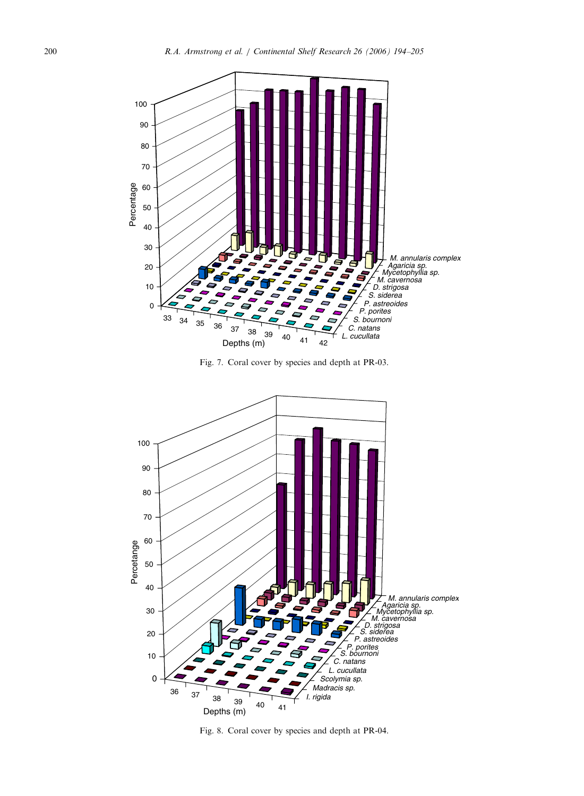<span id="page-6-0"></span>

Fig. 7. Coral cover by species and depth at PR-03.



Fig. 8. Coral cover by species and depth at PR-04.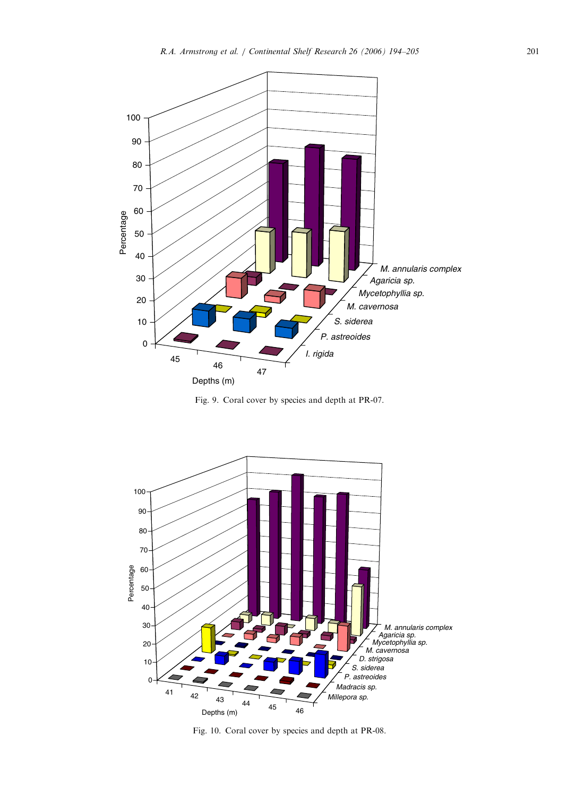<span id="page-7-0"></span>

Fig. 9. Coral cover by species and depth at PR-07.



Fig. 10. Coral cover by species and depth at PR-08.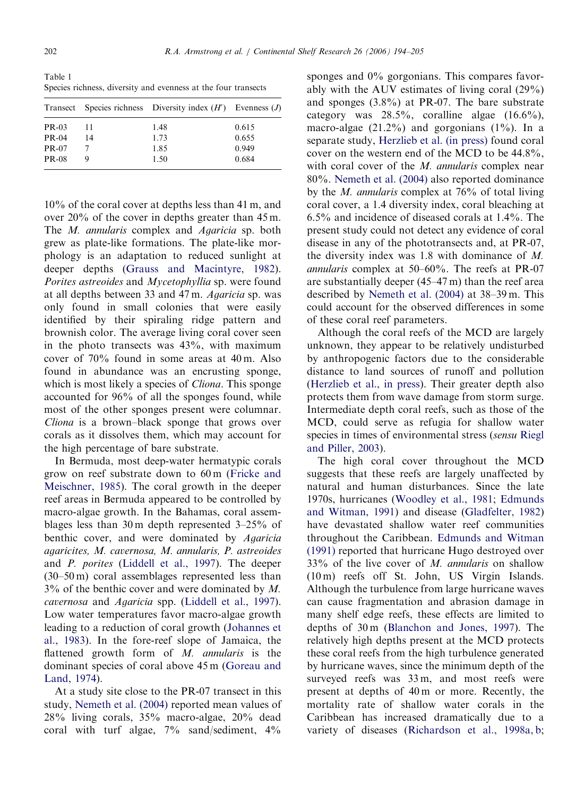<span id="page-8-0"></span>Table 1 Species richness, diversity and evenness at the four transects

|              |    | Transect Species richness Diversity index $(H')$ Evenness $(J)$ |       |
|--------------|----|-----------------------------------------------------------------|-------|
| <b>PR-03</b> | 11 | 1.48                                                            | 0.615 |
| <b>PR-04</b> | 14 | 1.73                                                            | 0.655 |
| <b>PR-07</b> |    | 1.85                                                            | 0.949 |
| <b>PR-08</b> |    | 1.50                                                            | 0.684 |

10% of the coral cover at depths less than 41 m, and over 20% of the cover in depths greater than 45 m. The *M. annularis* complex and *Agaricia* sp. both grew as plate-like formations. The plate-like morphology is an adaptation to reduced sunlight at deeper depths ([Grauss and Macintyre, 1982](#page-11-0)). Porites astreoides and Mycetophyllia sp. were found at all depths between 33 and 47 m. Agaricia sp. was only found in small colonies that were easily identified by their spiraling ridge pattern and brownish color. The average living coral cover seen in the photo transects was 43%, with maximum cover of 70% found in some areas at 40 m. Also found in abundance was an encrusting sponge, which is most likely a species of *Cliona*. This sponge accounted for 96% of all the sponges found, while most of the other sponges present were columnar. Cliona is a brown–black sponge that grows over corals as it dissolves them, which may account for the high percentage of bare substrate.

In Bermuda, most deep-water hermatypic corals grow on reef substrate down to 60 m [\(Fricke and](#page-11-0) [Meischner, 1985\)](#page-11-0). The coral growth in the deeper reef areas in Bermuda appeared to be controlled by macro-algae growth. In the Bahamas, coral assemblages less than 30 m depth represented 3–25% of benthic cover, and were dominated by Agaricia agaricites, M. cavernosa, M. annularis, P. astreoides and P. porites [\(Liddell et al., 1997](#page-11-0)). The deeper (30–50 m) coral assemblages represented less than 3% of the benthic cover and were dominated by M. cavernosa and Agaricia spp. [\(Liddell et al., 1997](#page-11-0)). Low water temperatures favor macro-algae growth leading to a reduction of coral growth ([Johannes et](#page-11-0) [al., 1983](#page-11-0)). In the fore-reef slope of Jamaica, the flattened growth form of M. annularis is the dominant species of coral above 45 m ([Goreau and](#page-11-0) [Land, 1974\)](#page-11-0).

At a study site close to the PR-07 transect in this study, [Nemeth et al. \(2004\)](#page-11-0) reported mean values of 28% living corals, 35% macro-algae, 20% dead coral with turf algae, 7% sand/sediment, 4%

sponges and 0% gorgonians. This compares favorably with the AUV estimates of living coral (29%) and sponges (3.8%) at PR-07. The bare substrate category was  $28.5\%$ , coralline algae  $(16.6\%)$ , macro-algae  $(21.2\%)$  and gorgonians  $(1\%)$ . In a separate study, [Herzlieb et al. \(in press\)](#page-11-0) found coral cover on the western end of the MCD to be 44.8%, with coral cover of the M. annularis complex near 80%. [Nemeth et al. \(2004\)](#page-11-0) also reported dominance by the  $M$ . annularis complex at 76% of total living coral cover, a 1.4 diversity index, coral bleaching at 6.5% and incidence of diseased corals at 1.4%. The present study could not detect any evidence of coral disease in any of the phototransects and, at PR-07, the diversity index was  $1.8$  with dominance of M. annularis complex at 50–60%. The reefs at PR-07 are substantially deeper (45–47 m) than the reef area described by [Nemeth et al. \(2004\)](#page-11-0) at 38–39 m. This could account for the observed differences in some of these coral reef parameters.

Although the coral reefs of the MCD are largely unknown, they appear to be relatively undisturbed by anthropogenic factors due to the considerable distance to land sources of runoff and pollution ([Herzlieb et al., in press\)](#page-11-0). Their greater depth also protects them from wave damage from storm surge. Intermediate depth coral reefs, such as those of the MCD, could serve as refugia for shallow water species in times of environmental stress (sensu [Riegl](#page-11-0) [and Piller, 2003\)](#page-11-0).

The high coral cover throughout the MCD suggests that these reefs are largely unaffected by natural and human disturbances. Since the late 1970s, hurricanes ([Woodley et al., 1981;](#page-11-0) [Edmunds](#page-11-0) [and Witman, 1991](#page-11-0)) and disease ([Gladfelter, 1982](#page-11-0)) have devastated shallow water reef communities throughout the Caribbean. [Edmunds and Witman](#page-11-0) [\(1991\)](#page-11-0) reported that hurricane Hugo destroyed over  $33\%$  of the live cover of M. annularis on shallow (10 m) reefs off St. John, US Virgin Islands. Although the turbulence from large hurricane waves can cause fragmentation and abrasion damage in many shelf edge reefs, these effects are limited to depths of 30 m ([Blanchon and Jones, 1997\)](#page-11-0). The relatively high depths present at the MCD protects these coral reefs from the high turbulence generated by hurricane waves, since the minimum depth of the surveyed reefs was 33 m, and most reefs were present at depths of 40 m or more. Recently, the mortality rate of shallow water corals in the Caribbean has increased dramatically due to a variety of diseases [\(Richardson et al., 1998a, b;](#page-11-0)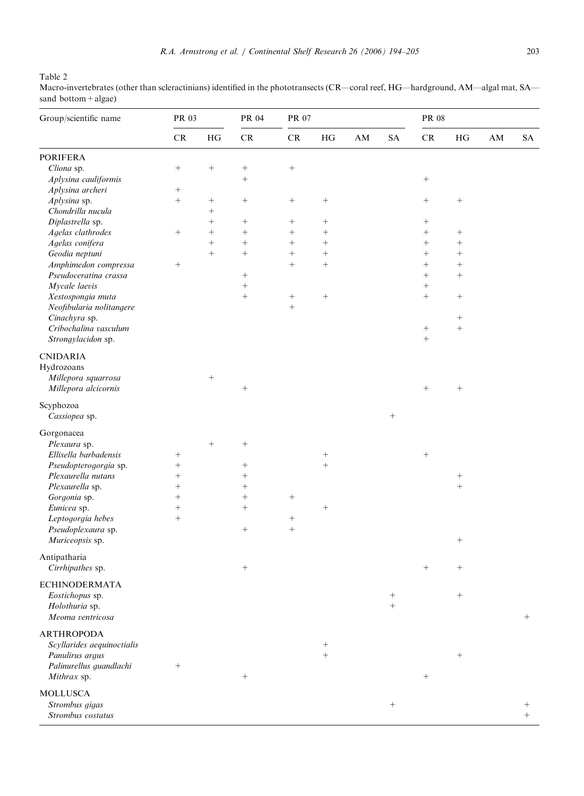<span id="page-9-0"></span>Table 2

Macro-invertebrates (other than scleractinians) identified in the phototransects (CR—coral reef, HG—hardground, AM—algal mat, SA sand bottom + algae)

| Group/scientific name      | PR 03      |                 | PR 04      | PR 07           |             |                        |                 | PR 08           |             |                        |                    |  |
|----------------------------|------------|-----------------|------------|-----------------|-------------|------------------------|-----------------|-----------------|-------------|------------------------|--------------------|--|
|                            | ${\rm CR}$ | HG              | ${\rm CR}$ | ${\cal CR}$     | $_{\rm HG}$ | $\mathbf{A}\mathbf{M}$ | SA              | ${\rm CR}$      | $_{\rm HG}$ | $\mathbf{A}\mathbf{M}$ | SA                 |  |
| <b>PORIFERA</b>            |            |                 |            |                 |             |                        |                 |                 |             |                        |                    |  |
| Cliona sp.                 | $^{+}$     | $^+$            | $^{+}$     | $\! + \!\!\!\!$ |             |                        |                 |                 |             |                        |                    |  |
| Aplysina cauliformis       |            |                 | $^{+}$     |                 |             |                        |                 |                 |             |                        |                    |  |
| Aplysina archeri           | $^{+}$     |                 |            |                 |             |                        |                 |                 |             |                        |                    |  |
| Aplysina sp.               | $^{+}$     |                 | $^{+}$     |                 | $^{+}$      |                        |                 |                 | $^{+}$      |                        |                    |  |
| Chondrilla nucula          |            | $^{+}$          |            |                 |             |                        |                 |                 |             |                        |                    |  |
| Diplastrella sp.           |            | $^{+}$          | $^{+}$     | $\! + \!\!\!\!$ |             |                        |                 | $\overline{+}$  |             |                        |                    |  |
| Agelas clathrodes          | $^{+}$     | $\ddot{}$       | $^{+}$     | $^{+}$          | $^{+}$      |                        |                 | $\ddot{}$       | $^{+}$      |                        |                    |  |
| Agelas conifera            |            | $^{+}$          | $^{+}$     | $^{+}$          | $^{+}$      |                        |                 | $^{+}$          | $^{+}$      |                        |                    |  |
| Geodia neptuni             |            | $^{+}$          | $^{+}$     | $^{+}$          | $^{+}$      |                        |                 | $^{+}$          | $^{+}$      |                        |                    |  |
| Amphimedon compressa       | $^{+}$     |                 |            | $^{+}$          | $^{+}$      |                        |                 | $\ddot{}$       | $^{+}$      |                        |                    |  |
| Pseudoceratina crassa      |            |                 | $^{+}$     |                 |             |                        |                 | $^{+}$          | $^{+}$      |                        |                    |  |
| Mycale laevis              |            |                 | $^{+}$     |                 |             |                        |                 | $^{+}$          |             |                        |                    |  |
| Xestospongia muta          |            |                 | $^{+}$     |                 | $^{+}$      |                        |                 | $^{+}$          | $^{+}$      |                        |                    |  |
| Neofibularia nolitangere   |            |                 |            | $^{+}$          |             |                        |                 |                 |             |                        |                    |  |
| Cinachyra sp.              |            |                 |            |                 |             |                        |                 |                 | $^{+}$      |                        |                    |  |
| Cribochalina vasculum      |            |                 |            |                 |             |                        |                 | $^{+}$          | $^{+}$      |                        |                    |  |
| Strongylacidon sp.         |            |                 |            |                 |             |                        |                 |                 |             |                        |                    |  |
| <b>CNIDARIA</b>            |            |                 |            |                 |             |                        |                 |                 |             |                        |                    |  |
| Hydrozoans                 |            |                 |            |                 |             |                        |                 |                 |             |                        |                    |  |
| Millepora squarrosa        |            | $\! + \!\!\!\!$ |            |                 |             |                        |                 |                 |             |                        |                    |  |
| Millepora alcicornis       |            |                 | $^{+}$     |                 |             |                        |                 |                 | $^{+}$      |                        |                    |  |
| Scyphozoa                  |            |                 |            |                 |             |                        |                 |                 |             |                        |                    |  |
| Cassiopea sp.              |            |                 |            |                 |             |                        | $^{+}$          |                 |             |                        |                    |  |
| Gorgonacea                 |            |                 |            |                 |             |                        |                 |                 |             |                        |                    |  |
| Plexaura sp.               |            |                 | $^{+}$     |                 |             |                        |                 |                 |             |                        |                    |  |
| Ellisella barbadensis      | $^{+}$     |                 |            |                 | $^+$        |                        |                 | $\! + \!\!\!\!$ |             |                        |                    |  |
| Pseudopterogorgia sp.      | $^{+}$     |                 | $^{+}$     |                 | $^{+}$      |                        |                 |                 |             |                        |                    |  |
| Plexaurella nutans         | $^{+}$     |                 | $^{+}$     |                 |             |                        |                 |                 | $^{+}$      |                        |                    |  |
| Plexaurella sp.            | $^{+}$     |                 | $^{+}$     |                 |             |                        |                 |                 | $^{+}$      |                        |                    |  |
| Gorgonia sp.               | $^{+}$     |                 | $^{+}$     | $^{+}$          |             |                        |                 |                 |             |                        |                    |  |
| Eunicea sp.                | $^{+}$     |                 | $^{+}$     |                 | $^{+}$      |                        |                 |                 |             |                        |                    |  |
| Leptogorgia hebes          | $^{+}$     |                 |            | $^+$            |             |                        |                 |                 |             |                        |                    |  |
| Pseudoplexaura sp.         |            |                 | $^{+}$     | $\pm$           |             |                        |                 |                 |             |                        |                    |  |
| Muriceopsis sp.            |            |                 |            |                 |             |                        |                 |                 | $^{+}$      |                        |                    |  |
| Antipatharia               |            |                 |            |                 |             |                        |                 |                 |             |                        |                    |  |
| Cirrhipathes sp.           |            |                 | $^{+}$     |                 |             |                        |                 | $^{+}$          | $^{+}$      |                        |                    |  |
| <b>ECHINODERMATA</b>       |            |                 |            |                 |             |                        |                 |                 |             |                        |                    |  |
| Eostichopus sp.            |            |                 |            |                 |             |                        | $^{+}$          |                 | $^{+}$      |                        |                    |  |
| Holothuria sp.             |            |                 |            |                 |             |                        | $^{+}$          |                 |             |                        |                    |  |
| Meoma ventricosa           |            |                 |            |                 |             |                        |                 |                 |             |                        | $\hspace{0.1mm} +$ |  |
|                            |            |                 |            |                 |             |                        |                 |                 |             |                        |                    |  |
| <b>ARTHROPODA</b>          |            |                 |            |                 |             |                        |                 |                 |             |                        |                    |  |
| Scyllarides aequinoctialis |            |                 |            |                 |             |                        |                 |                 |             |                        |                    |  |
| Panulirus argus            |            |                 |            |                 | $\! +$      |                        |                 |                 |             |                        |                    |  |
| Palinurellus guandlachi    | $^{+}$     |                 |            |                 |             |                        |                 |                 |             |                        |                    |  |
| Mithrax sp.                |            |                 | $^{+}$     |                 |             |                        |                 | $\! + \!\!\!\!$ |             |                        |                    |  |
| <b>MOLLUSCA</b>            |            |                 |            |                 |             |                        |                 |                 |             |                        |                    |  |
| Strombus gigas             |            |                 |            |                 |             |                        | $\! + \!\!\!\!$ |                 |             |                        | $^+$               |  |
| Strombus costatus          |            |                 |            |                 |             |                        |                 |                 |             |                        | $^{+}$             |  |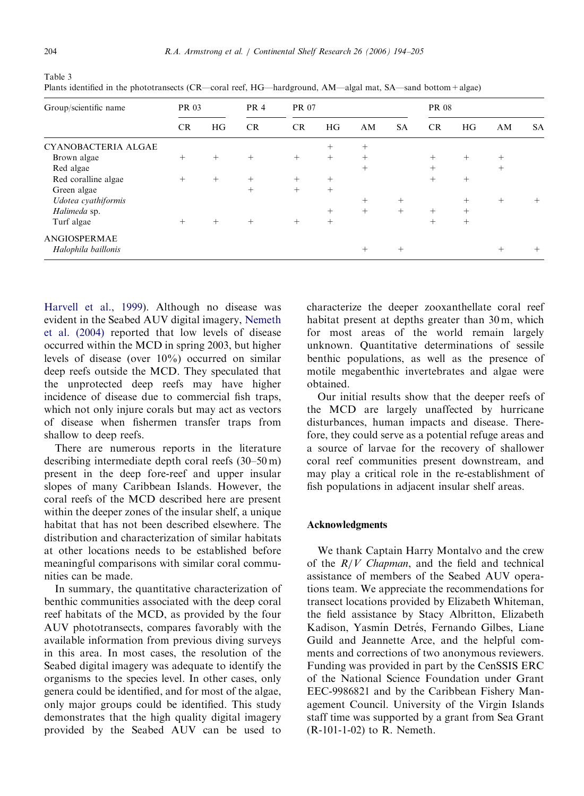| Group/scientific name      | PR 03     |        | <b>PR 4</b> | PR 07  |        |        |           | <b>PR 08</b> |        |        |           |
|----------------------------|-----------|--------|-------------|--------|--------|--------|-----------|--------------|--------|--------|-----------|
|                            | <b>CR</b> | HG     | <b>CR</b>   | CR     | HG     | AM     | <b>SA</b> | <b>CR</b>    | HG     | AM     | <b>SA</b> |
| <b>CYANOBACTERIA ALGAE</b> |           |        |             |        | $^{+}$ | $+$    |           |              |        |        |           |
| Brown algae                | $^{+}$    | $^{+}$ | $^{+}$      | $^{+}$ | $^{+}$ | $+$    |           | $^{+}$       | $^{+}$ | $^{+}$ |           |
| Red algae                  |           |        |             |        |        | $^{+}$ |           | $^{+}$       |        | $^{+}$ |           |
| Red coralline algae        | $^{+}$    | $^{+}$ | $+$         | $+$    | $+$    |        |           | $^{+}$       | $^{+}$ |        |           |
| Green algae                |           |        | $^{+}$      | $+$    | $^{+}$ |        |           |              |        |        |           |
| Udotea cyathiformis        |           |        |             |        |        | $^{+}$ | $+$       |              | $^{+}$ | $^{+}$ | $^{+}$    |
| Halimeda sp.               |           |        |             |        | $^{+}$ | $^{+}$ | $^{+}$    | $^{+}$       | $^{+}$ |        |           |
| Turf algae                 | $^{+}$    | $^{+}$ | $^{+}$      | $^{+}$ | $+$    |        |           | $^{+}$       | $^{+}$ |        |           |
| <b>ANGIOSPERMAE</b>        |           |        |             |        |        |        |           |              |        |        |           |
| Halophila baillonis        |           |        |             |        |        |        | $^+$      |              |        | $^{+}$ | $^+$      |

<span id="page-10-0"></span>Table 3 Plants identified in the phototransects (CR—coral reef, HG—hardground, AM—algal mat, SA—sand bottom+algae)

[Harvell et al., 1999](#page-11-0)). Although no disease was evident in the Seabed AUV digital imagery, [Nemeth](#page-11-0) [et al. \(2004\)](#page-11-0) reported that low levels of disease occurred within the MCD in spring 2003, but higher levels of disease (over 10%) occurred on similar deep reefs outside the MCD. They speculated that the unprotected deep reefs may have higher incidence of disease due to commercial fish traps, which not only injure corals but may act as vectors of disease when fishermen transfer traps from shallow to deep reefs.

There are numerous reports in the literature describing intermediate depth coral reefs (30–50 m) present in the deep fore-reef and upper insular slopes of many Caribbean Islands. However, the coral reefs of the MCD described here are present within the deeper zones of the insular shelf, a unique habitat that has not been described elsewhere. The distribution and characterization of similar habitats at other locations needs to be established before meaningful comparisons with similar coral communities can be made.

In summary, the quantitative characterization of benthic communities associated with the deep coral reef habitats of the MCD, as provided by the four AUV phototransects, compares favorably with the available information from previous diving surveys in this area. In most cases, the resolution of the Seabed digital imagery was adequate to identify the organisms to the species level. In other cases, only genera could be identified, and for most of the algae, only major groups could be identified. This study demonstrates that the high quality digital imagery provided by the Seabed AUV can be used to

characterize the deeper zooxanthellate coral reef habitat present at depths greater than 30 m, which for most areas of the world remain largely unknown. Quantitative determinations of sessile benthic populations, as well as the presence of motile megabenthic invertebrates and algae were obtained.

Our initial results show that the deeper reefs of the MCD are largely unaffected by hurricane disturbances, human impacts and disease. Therefore, they could serve as a potential refuge areas and a source of larvae for the recovery of shallower coral reef communities present downstream, and may play a critical role in the re-establishment of fish populations in adjacent insular shelf areas.

#### Acknowledgments

We thank Captain Harry Montalvo and the crew of the  $R/V$  Chapman, and the field and technical assistance of members of the Seabed AUV operations team. We appreciate the recommendations for transect locations provided by Elizabeth Whiteman, the field assistance by Stacy Albritton, Elizabeth Kadison, Yasmín Detrés, Fernando Gilbes, Liane Guild and Jeannette Arce, and the helpful comments and corrections of two anonymous reviewers. Funding was provided in part by the CenSSIS ERC of the National Science Foundation under Grant EEC-9986821 and by the Caribbean Fishery Management Council. University of the Virgin Islands staff time was supported by a grant from Sea Grant (R-101-1-02) to R. Nemeth.